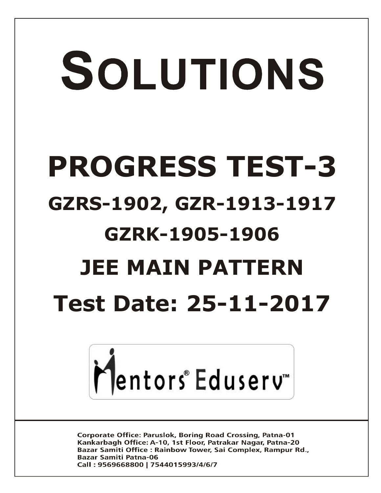# SOLUTIONS **PROGRESS TEST-3 GZRS-1902, GZR-1913-1917 GZRK-1905-1906 JEE MAIN PATTERN Test Date: 25-11-2017**



**Corporate Office: Paruslok, Boring Road Crossing, Patna-01** Kankarbagh Office: A-10, 1st Floor, Patrakar Nagar, Patna-20 Bazar Samiti Office: Rainbow Tower, Sai Complex, Rampur Rd., **Bazar Samiti Patna-06** Call: 9569668800 | 7544015993/4/6/7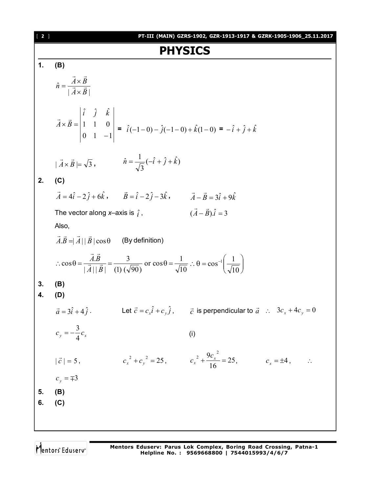| [2]      |                                                                                                                                                                                                    | PT-III (MAIN) GZRS-1902, GZR-1913-1917 & GZRK-1905-1906_25.11.2017                                                                      |  |  |  |
|----------|----------------------------------------------------------------------------------------------------------------------------------------------------------------------------------------------------|-----------------------------------------------------------------------------------------------------------------------------------------|--|--|--|
|          | <b>PHYSICS</b>                                                                                                                                                                                     |                                                                                                                                         |  |  |  |
| 1.       | (B)                                                                                                                                                                                                |                                                                                                                                         |  |  |  |
|          | $\hat{n} = \frac{\vec{A} \times \vec{B}}{ \vec{A} \times \vec{B} }$                                                                                                                                |                                                                                                                                         |  |  |  |
|          | $\vec{A} \times \vec{B} = \begin{vmatrix} \hat{i} & \hat{j} & \hat{k} \\ 1 & 1 & 0 \\ 0 & 1 & -1 \end{vmatrix} = \hat{i}(-1-0) - \hat{j}(-1-0) + \hat{k}(1-0) = -\hat{i} + \hat{j} + \hat{k}$      |                                                                                                                                         |  |  |  |
|          | $ \vec{A} \times \vec{B}  = \sqrt{3}$ , $\hat{n} = \frac{1}{\sqrt{3}}(-\hat{i} + \hat{j} + \hat{k})$                                                                                               |                                                                                                                                         |  |  |  |
| 2.       | (C)                                                                                                                                                                                                |                                                                                                                                         |  |  |  |
|          | $\vec{A} = 4\hat{i} - 2\hat{j} + 6\hat{k}$ , $\vec{B} = \hat{i} - 2\hat{j} - 3\hat{k}$ , $\vec{A} - \vec{B} = 3\hat{i} + 9\hat{k}$                                                                 |                                                                                                                                         |  |  |  |
|          | $(\vec{A} - \vec{B})\cdot \hat{i} = 3$<br>The vector along x-axis is $\hat{i}$ ,                                                                                                                   |                                                                                                                                         |  |  |  |
|          | Also,                                                                                                                                                                                              |                                                                                                                                         |  |  |  |
|          | $\vec{A} \cdot \vec{B} =  \vec{A}   \vec{B}  \cos \theta$ (By definition)                                                                                                                          |                                                                                                                                         |  |  |  |
|          | $\therefore \cos \theta = \frac{AB}{ \vec{A}  \vec{B} } = \frac{3}{(1)(\sqrt{90})} \text{ or } \cos \theta = \frac{1}{\sqrt{10}} \therefore \theta = \cos^{-1} \left( \frac{1}{\sqrt{10}} \right)$ |                                                                                                                                         |  |  |  |
| 3.<br>4. | (B)<br>(D)                                                                                                                                                                                         |                                                                                                                                         |  |  |  |
|          |                                                                                                                                                                                                    | $\vec{a} = 3\hat{i} + 4\hat{j}$ . Let $\vec{c} = c_x\hat{i} + c_y\hat{j}$ , $\vec{c}$ is perpendicular to $\vec{a}$ : $3c_x + 4c_y = 0$ |  |  |  |
|          | $c_y = -\frac{3}{4}c_x$                                                                                                                                                                            | (i)                                                                                                                                     |  |  |  |
|          | $c_x^2 + c_y^2 = 25$ , $c_x^2 + \frac{9c_x^2}{16} = 25$ ,<br>$ \vec{c} =5$ ,                                                                                                                       | $c_x = \pm 4$ , :                                                                                                                       |  |  |  |
|          | $c_v = \pm 3$                                                                                                                                                                                      |                                                                                                                                         |  |  |  |
| 5.<br>6. | (B)                                                                                                                                                                                                |                                                                                                                                         |  |  |  |
|          | (C)                                                                                                                                                                                                |                                                                                                                                         |  |  |  |
|          |                                                                                                                                                                                                    |                                                                                                                                         |  |  |  |

Mentors<sup>e</sup> Eduserv<sup>-</sup>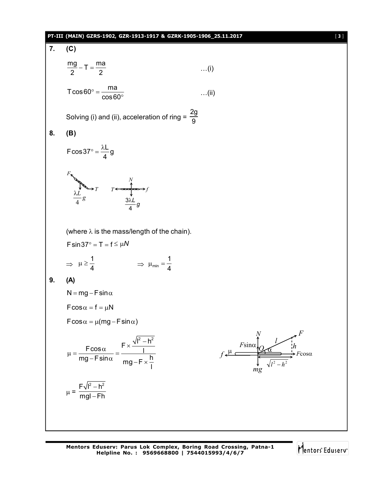### **PT-III (MAIN) GZRS-1902, GZR-1913-1917 & GZRK-1905-1906\_25.11.2017** [ **3** ] **7. (C)**  $\frac{mg}{2} - T = \frac{ma}{2}$  $\frac{12}{2}$  - T =  $\frac{12}{2}$  ...(i)  $T\cos 60^\circ = \frac{ma}{2}$ cos60  $\circ$  = - $\circ$ …(ii) Solving (i) and (ii), acceleration of ring = 2g 9 **8. (B)** Fcos37° =  $\frac{\lambda L}{4}$ g 4  $\circ = \frac{\lambda}{\lambda}$ *g L* 4  $\lambda L$   $T$   $T \leftarrow T$ *F g L* 4 3λ *N* (where  $\lambda$  is the mass/length of the chain).  $F \sin 37^\circ = T = f \le \mu N$  $\Rightarrow$ 1  $\mu \ge \frac{1}{4}$   $\Rightarrow \mu_{\min} = \frac{1}{4}$ 4  $\mu_{\min}$  = -**9. (A)**  $N = mg - F \sin \alpha$  $F\cos\alpha = f = \mu N$  $F\cos\alpha = \mu(mg - F\sin\alpha)$  $F \times \frac{\sqrt{I^2 - h^2}}{I}$  $\frac{\text{Fcos}\alpha}{\text{Fcos}\alpha} = \frac{1-\alpha}{\text{Fcos}\alpha}$ mg – F $\sin \alpha$  mg – F $\times$   $\frac{h}{h}$ l  $\mu = \frac{F \cos \alpha}{F \cdot F} = \frac{F \times \frac{\sqrt{I^2 - I}}{I}}{I}$  $-$ F $\bm{\mathsf{s}}$ in $\alpha$   $\bm{\mathsf{mg}}$  – F $\times$   $^{\bm{\mathsf{I}}}$  $\mu \stackrel{F\sin\alpha}{\longleftarrow} \mathcal{A}$ *F mg F*cos 2  $\mu^2$  $l^2 - h$ *N f l*  $\mu =$  $F\sqrt{I^2 - h^2}$ mgl – Fh  $\overline{\phantom{a}}$  $\overline{\phantom{a}}$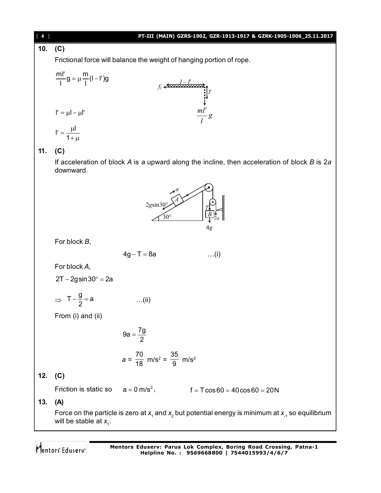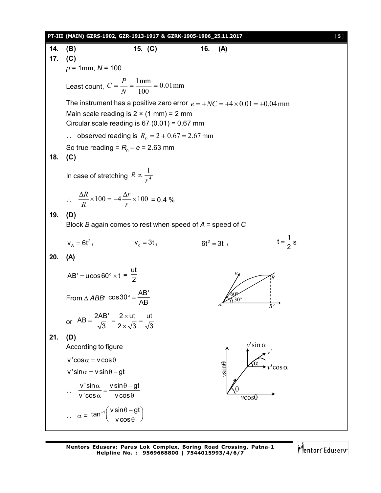**PT-III (MAIN) GZRS-1902, GZR-1913-1917 & GZRK-1905-1906\_25.11.2017** [ **5** ] **14. (B) 15. (C) 16. (A) 17. (C)** *p* = 1mm, *N* = 100 Least count,  $C = \frac{1}{N} = \frac{1.001}{1.00} = 0.01$  mm 100  $=\frac{P}{N}=\frac{1}{100}=\frac{1}{100}=\frac{1}{100}=\frac{1}{100}=\frac{1}{100}=\frac{1}{100}=\frac{1}{100}=\frac{1}{100}=\frac{1}{100}=\frac{1}{100}=\frac{1}{100}=\frac{1}{100}=\frac{1}{100}=\frac{1}{100}=\frac{1}{100}=\frac{1}{100}=\frac{1}{100}=\frac{1}{100}=\frac{1}{100}=\frac{1}{100}=\frac{1}{100}=\frac{1}{100}=\frac{1}{100}=\frac{1}{1$ *N*  $C = \frac{P}{P}$ The instrument has a positive zero error  $e = +NC = +4 \times 0.01 = +0.04$  mm Main scale reading is  $2 \times (1 \text{ mm}) = 2 \text{ mm}$ Circular scale reading is  $67$  (0.01) = 0.67 mm  $\therefore$  observed reading is  $R_0 = 2 + 0.67 = 2.67$  mm So true reading =  $R_{\text{o}}$  –  $e$  = 2.63 mm **18. (C)** In case of stretching  $R \propto \frac{1}{\mu^4}$ 1 *r*  $R \propto$  $\therefore \quad \frac{\Delta R}{R} \times 100 = -4 \frac{\Delta r}{R} \times 100$ *r r R R*  $= 0.4 \%$ **19. (D)** Block *B* again comes to rest when speed of *A* = speed of *C*  $v_{A} = 6t^{2}$ , c v 3t **,**  $6t^2 = 3t$ ,  $t = \frac{1}{2}$  $=\frac{1}{2} s$ **20. (A)**  $AB' = u\cos 60^\circ \times t =$ ut 2  $30^{\circ}$ 60° *B A u B* From  $\triangle$  *ABB'* cos 30° =  $\frac{AB'}{AB}$ AB  $\circ =$ or  $AB = \frac{2AB'}{\sqrt{2}} = \frac{2 \times ut}{2 \times \sqrt{2}} = \frac{ut}{\sqrt{2}}$ 3  $2 \times \sqrt{3}$   $\sqrt{3}$  $=\frac{2AB'}{\sqrt{2}}=\frac{2\times ut}{2\sqrt{2}}= \times$ **21. (D)** According to figure  $v'$ cos  $\alpha = v \cos \theta$  $\overline{v \cos \theta}$ *v*'cos  $v'$ sin $\alpha$  $\theta$ *v*sin *v*'  $\alpha$  $v'sin \alpha = v sin \theta - gt$  $\ddot{\cdot}$ v'sin $\alpha$  vsin $\theta-$ gt  $v'$ cos $\alpha$  vcos  $\frac{\alpha}{\alpha} = \frac{v \sin \theta - g}{\alpha}$  $\alpha$  vcos $\theta$  $\therefore \quad \alpha = \tan^{-1} \left( \frac{v \sin \theta - gt}{v \cos \theta} \right)$  $\frac{-1}{\sqrt{\cosh \theta - g t}}$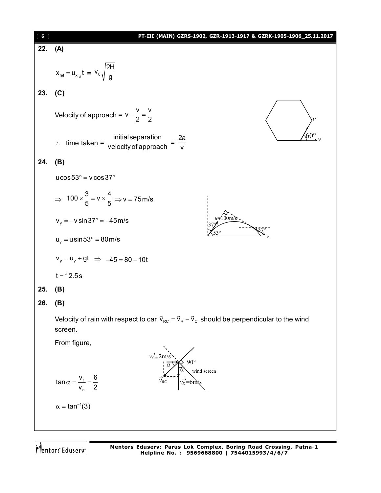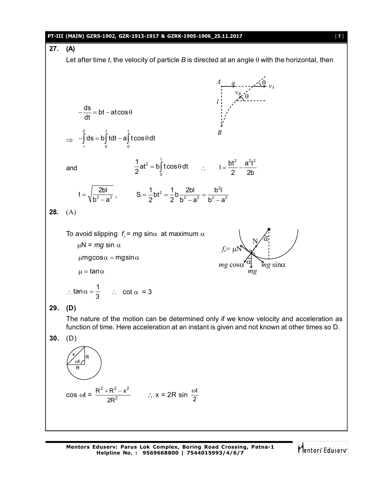

**Mentors Eduserv: Parus Lok Complex, Boring Road Crossing, Patna-1 Helpline No. : 9569668800 | 7544015993/4/6/7**

Mentors<sup>®</sup> Eduserv<sup>®</sup>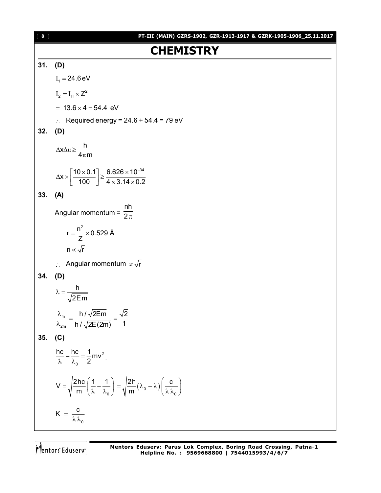## [ **8** ] **PT-III (MAIN) GZRS-1902, GZR-1913-1917 & GZRK-1905-1906\_25.11.2017 CHEMISTRY 31. (D)**  $I_1 = 24.6 \text{ eV}$  $I_2 = I_H \times Z^2$  $= 13.6 \times 4 = 54.4$  eV  $\therefore$  Required energy = 24.6 + 54.4 = 79 eV **32. (D)**  $x \Delta v \geq \frac{h}{h}$  $4\pi$ m ∆x∆∪≥  $\pi$  $x \times \left[\frac{10 \times 0.1}{100}\right] \geq \frac{6.626 \times 10^{-34}}{100}$ 100  $\frac{1}{2}$  4 × 3.14 × 0.2  $\Delta x \times \left[ \frac{10 \times 0.1}{100} \right] \ge \frac{6.626 \times 10^{-1}}{4 \times 3.14 \times 0}$ **33. (A)** Angular momentum = nh  $2\pi$  $r = \frac{n^2}{7} \times 0.529$  Å Z  $=\frac{11}{7} \times 0$  $n \propto \sqrt{r}$ : Angular momentum  $\infty\sqrt{r}$ **34. (D)** h 2Em  $\lambda =$ m 2m h /  $\sqrt{2}$ Em  $\sqrt{2}$ h / √2E (2m) 1  $\frac{\lambda_{\rm m}}{\lambda_{\rm m}} = \frac{\ln 1/\sqrt{2Em}}{1/\sqrt{2\pi m}} =$ λ **35. (C)** 2 0  $\frac{hc}{\hat{c}} - \frac{hc}{\hat{c}} = \frac{1}{2}mv$ 2  $\frac{10}{\lambda} - \frac{10}{\lambda_0} = \frac{1}{2}$  mv<sup>2</sup>. 0  $V = \sqrt{\frac{2hc}{2} \left(\frac{1}{2} - \frac{1}{2}\right)}$ m  $=\sqrt{\frac{2\hbar c}{m}}\left(\frac{1}{\lambda}-\frac{1}{\lambda_0}\right)=\sqrt{\frac{2\hbar}{m}}(\lambda_0-\lambda)$ 0  $2h$ <sub>(2 a)</sub> c m  $=\sqrt{\frac{2h}{m}(\lambda_0-\lambda)\left(\frac{c}{\lambda\lambda_0}\right)}$ 0  $K = \frac{c}{\sqrt{2}}$  $\lambda \lambda _{0}$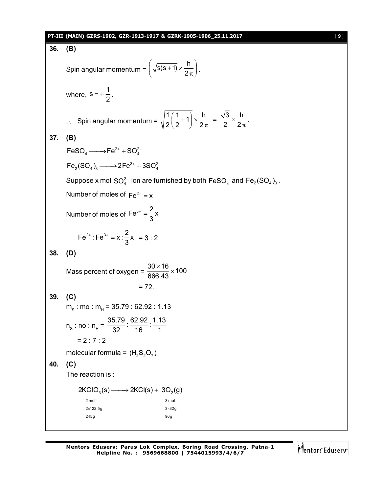#### **PT-III (MAIN) GZRS-1902, GZR-1913-1917 & GZRK-1905-1906\_25.11.2017** [ **9** ]

```
36. (B)
          Spin angular momentum = 
                                                                \frac{h}{s(s+1)} \times \frac{h}{s}\left(\sqrt{s(s+1)} \times \frac{h}{2\pi}\right).\left(\sqrt{s(s+1)}\times\frac{1}{2\pi}\right).where, 
                        s = +\frac{1}{6}= +\frac{1}{2}.
          \therefore Spin angular momentum = \sqrt{\frac{1}{2}(\frac{1}{2}+1)} \times \frac{h}{2\pi}2(2 \quad ) 2
                                                                        \left(\frac{1}{2}+1\right)\times\frac{h}{2\pi} = \frac{\sqrt{3}}{2}\times\frac{h}{2\pi}.2 2
                                                                                                 = \frac{\sqrt{6}}{2} \times \frac{1}{2}\pi37. (B)
          FeSO<sub>4</sub> \longrightarrow Fe<sup>2+</sup> + SO<sub>4</sub><sup>2+</sup>Fe_2(SO_4)_3 \longrightarrow 2Fe^{3+} + 3SO_4^{2-}Suppose x mol\, {\mathop{\mathrm{SO}}\nolimits}_4^{2-} ion are furnished by both \, {\mathop{\mathrm{Fe}}\nolimits} {\mathop{\mathrm{SO}}\nolimits}_4 and \, {\mathop{\mathrm{Fe}}\nolimits}_2({\mathop{\mathrm{SO}}\nolimits}_4)_3 .
          Number of moles of Fe^{2+} = xNumber of moles of Fe^{3+} = \frac{2}{3}x3
                                                     t =Fe<sup>2+</sup> :Fe<sup>3+</sup> = x : \frac{2}{5}x
                                             3
                       \frac{1}{2}: Fe<sup>3+</sup> = x : \frac{2}{2}x = 3 : 2
38. (D)
          Mass percent of oxygen = \frac{30 \times 16}{600 \times 40} × 100
                                                          666.43
                                                               \frac{\times 16}{\times} \times= 72.39. (C)
          m<sub>s</sub> : mo : m<sub>H</sub> = 35.79 : 62.92 : 1.13
          n_{\rm s} : no : n_{\rm H} =
                                   \frac{35.79}{20}: \frac{62.92}{10}: \frac{1.13}{1}32 16 1
                = 2 : 7 : 2molecular formula = (H_2 S_2 O_7)<sub>n</sub>
40. (C)
          The reaction is :
                 2KCIO_3(s) ——> 2KCI(s) + 3O_2(g)
                      2 mol 3 mol
                      2\times 122.5g 3\times 32g245g 96g
```
Mentors Eduserv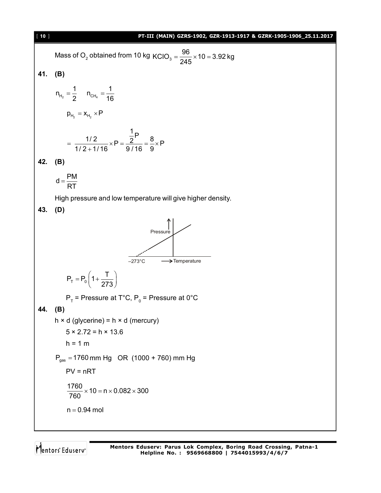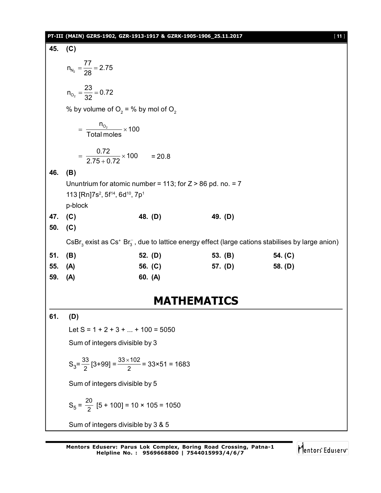## **PT-III (MAIN) GZRS-1902, GZR-1913-1917 & GZRK-1905-1906\_25.11.2017** [ **11** ]

| 45. | (C)                                                                                                                                             |                    |         |           |  |  |
|-----|-------------------------------------------------------------------------------------------------------------------------------------------------|--------------------|---------|-----------|--|--|
|     | $n_{N_2} = \frac{77}{28} = 2.75$                                                                                                                |                    |         |           |  |  |
|     | $n_{O_2} = \frac{23}{32} = 0.72$                                                                                                                |                    |         |           |  |  |
|     | % by volume of $O_2$ = % by mol of $O_2$                                                                                                        |                    |         |           |  |  |
|     | $=\frac{n_{O_2}}{Total moles} \times 100$                                                                                                       |                    |         |           |  |  |
|     | $=\frac{0.72}{2.75+0.72} \times 100 = 20.8$                                                                                                     |                    |         |           |  |  |
| 46. | (B)                                                                                                                                             |                    |         |           |  |  |
|     | Ununtrium for atomic number = 113; for $Z > 86$ pd. no. = 7                                                                                     |                    |         |           |  |  |
|     | 113 [Rn]7s <sup>2</sup> , 5f <sup>14</sup> , 6d <sup>10</sup> , 7p <sup>1</sup>                                                                 |                    |         |           |  |  |
| 47. | p-block<br>(C)                                                                                                                                  | 48. (D)            | 49. (D) |           |  |  |
| 50. | (C)                                                                                                                                             |                    |         |           |  |  |
|     | CsBr <sub>3</sub> exist as Cs <sup>+</sup> Br <sub>3</sub> , due to lattice energy effect (large cations stabilises by large anion)             |                    |         |           |  |  |
| 51. | (B)                                                                                                                                             | 52. (D)            | 53. (B) | 54. (C)   |  |  |
| 55. | (A)                                                                                                                                             | 56. (C)            | 57. (D) | 58. $(D)$ |  |  |
| 59. | (A)                                                                                                                                             | 60. (A)            |         |           |  |  |
|     |                                                                                                                                                 |                    |         |           |  |  |
|     |                                                                                                                                                 | <b>MATHEMATICS</b> |         |           |  |  |
| 61. | (D)                                                                                                                                             |                    |         |           |  |  |
|     | Let $S = 1 + 2 + 3 +  + 100 = 5050$<br>Sum of integers divisible by 3<br>$S_3 = \frac{33}{2}$ [3+99] = $\frac{33 \times 102}{2}$ = 33×51 = 1683 |                    |         |           |  |  |
|     |                                                                                                                                                 |                    |         |           |  |  |
|     |                                                                                                                                                 |                    |         |           |  |  |
|     | Sum of integers divisible by 5                                                                                                                  |                    |         |           |  |  |
|     | $S_5 = \frac{20}{2}$ [5 + 100] = 10 × 105 = 1050                                                                                                |                    |         |           |  |  |

Sum of integers divisible by 3 & 5

Mentors<sup>e</sup> Eduserv<sup>-</sup>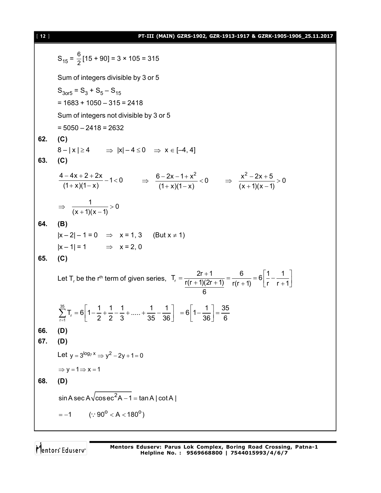| $[12]$ | PT-III (MAIN) GZRS-1902, GZR-1913-1917 & GZRK-1905-1906_25.11.2017                                                                                                            |  |  |
|--------|-------------------------------------------------------------------------------------------------------------------------------------------------------------------------------|--|--|
|        | $S_{15} = \frac{6}{2} [15 + 90] = 3 \times 105 = 315$                                                                                                                         |  |  |
|        | Sum of integers divisible by 3 or 5                                                                                                                                           |  |  |
|        | $S_{3or5} = S_3 + S_5 - S_{15}$                                                                                                                                               |  |  |
|        | $= 1683 + 1050 - 315 = 2418$                                                                                                                                                  |  |  |
|        | Sum of integers not divisible by 3 or 5                                                                                                                                       |  |  |
|        | $= 5050 - 2418 = 2632$                                                                                                                                                        |  |  |
| 62.    | (C)                                                                                                                                                                           |  |  |
|        | $8- x  \ge 4$ $\Rightarrow  x -4 \le 0$ $\Rightarrow x \in [-4, 4]$                                                                                                           |  |  |
| 63.    | (C)                                                                                                                                                                           |  |  |
|        | $\frac{4-4x+2+2x}{(1+x)(1-x)}-1<0 \qquad \Rightarrow \qquad \frac{6-2x-1+x^2}{(1+x)(1-x)}<0 \qquad \Rightarrow \qquad \frac{x^2-2x+5}{(x+1)(x-1)}>0$                          |  |  |
|        | $\Rightarrow \frac{1}{(x+1)(x-1)}>0$                                                                                                                                          |  |  |
| 64.    | (B)                                                                                                                                                                           |  |  |
|        | $ x-2 -1=0$ $\Rightarrow$ $x=1, 3$ (But $x \ne 1$ )                                                                                                                           |  |  |
|        | $ x-1 =1$ $\implies$ $x=2, 0$                                                                                                                                                 |  |  |
| 65.    | (C)                                                                                                                                                                           |  |  |
|        | Let T <sub>r</sub> be the r <sup>th</sup> term of given series, $T_r = \frac{2r + 1}{r(r + 1)(2r + 1)} = \frac{6}{r(r + 1)} = 6\left[\frac{1}{r} - \frac{1}{r + 1}\right]$    |  |  |
|        | $\sum_{r=1}^{35} T_r = 6 \left[ 1 - \frac{1}{2} + \frac{1}{2} - \frac{1}{3} + \dots + \frac{1}{35} - \frac{1}{36} \right] = 6 \left[ 1 - \frac{1}{36} \right] = \frac{35}{6}$ |  |  |
| 66.    | (D)                                                                                                                                                                           |  |  |
| 67.    | (D)                                                                                                                                                                           |  |  |
|        | Let $y = 3^{\log_7 x} \Rightarrow y^2 - 2y + 1 = 0$                                                                                                                           |  |  |
|        | $\Rightarrow y = 1 \Rightarrow x = 1$                                                                                                                                         |  |  |
| 68.    | (D)                                                                                                                                                                           |  |  |
|        | $\sin A \sec A \sqrt{\cos ec^2 A - 1} = \tan A  \cot A $                                                                                                                      |  |  |
|        | $= -1$ (: 90 <sup>o</sup> < A < 180 <sup>o</sup> )                                                                                                                            |  |  |
|        |                                                                                                                                                                               |  |  |

Mentors<sup>®</sup> Eduserv<sup>®</sup>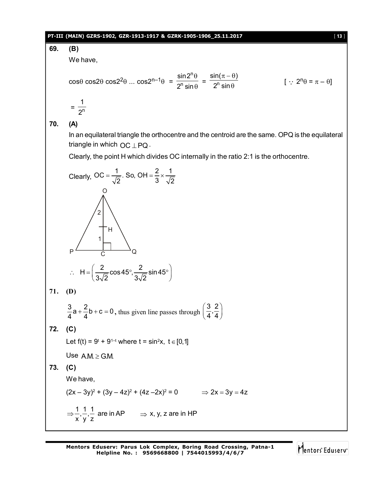#### **PT-III (MAIN) GZRS-1902, GZR-1913-1917 & GZRK-1905-1906\_25.11.2017** [ **13** ]

**69. (B)** We have,  $\cos\theta \cos2\theta \cos2^2\theta$  ...  $\cos2^{n-1}\theta$  = n n sin2  $2^n$  sin  $\theta$  $\frac{1}{\theta}$  =  $\frac{1}{2^n}$  $\mathsf{sin}(\pi-\theta)$  $2^n$  sin  $\pi - \theta$ )  $\theta$  $[\cdot]$  2<sup>n</sup> $\theta$  =  $\pi$  -  $\theta$ ]  $=\frac{1}{2^n}$ 1 2 **70. (A)** In an equilateral triangle the orthocentre and the centroid are the same. OPQ is the equilateral triangle in which  $OC \perp PQ$ . Clearly, the point H which divides OC internally in the ratio 2:1 is the orthocentre. Clearly, OC =  $\frac{1}{\sqrt{2}}$ . So, OH =  $\frac{2}{3} \times \frac{1}{\sqrt{2}}$ 2  $3\sqrt{2}$  $=\frac{1}{\sqrt{2}}$ . So, OH =  $\frac{1}{2} \times$  -2 1  $\mathsf{H}$ O  $P \xrightarrow{C} Q$  $H = \left(\frac{2}{\sqrt{2}}\cos 45^\circ, \frac{2}{\sqrt{2}}\sin 45^\circ\right)$  $\therefore$  H =  $\left(\frac{2}{3\sqrt{2}}\cos 45^\circ, \frac{2}{3\sqrt{2}}\sin 45^\circ\right)$ **71. (D)**  $\frac{3}{4}a + \frac{2}{4}b + c = 0$  $\frac{3}{4}$ a +  $\frac{2}{4}$ b + c = 0, thus given line passes through  $\frac{3}{4}$ ,  $\frac{2}{4}$  $\left(\frac{3}{4}, \frac{2}{4}\right)$ **72. (C)** Let f(t) =  $9^t$  +  $9^{1-t}$  where t = sin<sup>2</sup>x, t  $\in [0,1]$ Use  $A.M. \ge G.M.$ **73. (C)** We have,  $(2x - 3y)^2 + (3y - 4z)^2 + (4z - 2x)^2 = 0$   $\implies$   $2x = 3y = 4z$  $1, 1, 1$  $\Rightarrow$   $\rightarrow$   $\rightarrow$   $\rightarrow$   $\rightarrow$   $\rightarrow$  x, y, z are in HP  $\Rightarrow$  x, y, z are in HP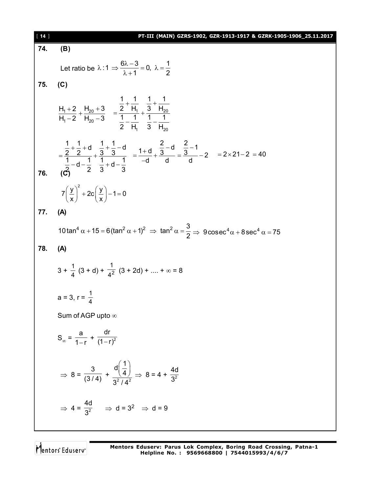| $[14]$     | PT-III (MAIN) GZRS-1902, GZR-1913-1917 & GZRK-1905-1906_25.11.2017                                                                                                                                                      |
|------------|-------------------------------------------------------------------------------------------------------------------------------------------------------------------------------------------------------------------------|
| 74.        | (B)                                                                                                                                                                                                                     |
|            | Let ratio be $\lambda$ :1 $\Rightarrow \frac{6\lambda - 3}{\lambda + 1} = 0$ , $\lambda = \frac{1}{2}$                                                                                                                  |
| 75.        | (C)                                                                                                                                                                                                                     |
|            | $\frac{H_1+2}{H_1-2}$ + $\frac{H_{20}+3}{H_{20}-3}$ = $\frac{\frac{1}{2} + \frac{1}{H_1}}{\frac{1}{2} - \frac{1}{H_1}}$ + $\frac{\frac{1}{3} + \frac{1}{H_{20}}}{\frac{1}{3} - \frac{1}{H_{20}}}$                       |
| <b>76.</b> | $=\frac{\frac{1}{2}+\frac{1}{2}+d}{\frac{1}{2}-d-\frac{1}{2}}+\frac{\frac{1}{3}+\frac{1}{3}-d}{\frac{1}{3}+d-\frac{1}{3}}=\frac{1+d}{-d}+\frac{\frac{2}{3}-d}{d}=\frac{\frac{2}{3}-1}{d}-2=2\times21-2=40$              |
|            | $7\left(\frac{y}{x}\right)^2 + 2c\left(\frac{y}{x}\right) - 1 = 0$                                                                                                                                                      |
| 77.        | (A)                                                                                                                                                                                                                     |
|            | 10 tan <sup>4</sup> $\alpha$ + 15 = 6 (tan <sup>2</sup> $\alpha$ + 1) <sup>2</sup> $\Rightarrow$ tan <sup>2</sup> $\alpha = \frac{3}{2}$ $\Rightarrow$ 9 cosec <sup>4</sup> $\alpha$ + 8 sec <sup>4</sup> $\alpha$ = 75 |
| 78.        | (A)                                                                                                                                                                                                                     |
|            | $3 + \frac{1}{4} (3 + d) + \frac{1}{4^2} (3 + 2d) + \dots + \infty = 8$                                                                                                                                                 |
|            | $a = 3, r = \frac{1}{4}$                                                                                                                                                                                                |
|            | Sum of AGP upto $\infty$                                                                                                                                                                                                |
|            | $S_{\infty} = \frac{a}{1-r} + \frac{dr}{(1-r)^2}$                                                                                                                                                                       |
|            | ⇒ 8 = $\frac{3}{(3/4)} + \frac{d(\frac{1}{4})}{2^2/4^2}$ ⇒ 8 = 4 + $\frac{4d}{3^2}$                                                                                                                                     |
|            | $\Rightarrow$ 4 = $\frac{4d}{3^2}$ $\Rightarrow$ d = 3 <sup>2</sup> $\Rightarrow$ d = 9                                                                                                                                 |

Mentors<sup>e</sup> Eduserv<sup>-</sup>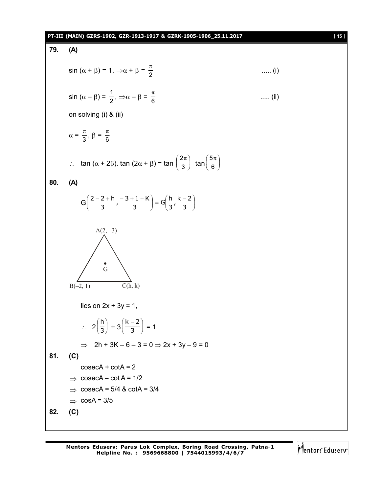#### **PT-III (MAIN) GZRS-1902, GZR-1913-1917 & GZRK-1905-1906\_25.11.2017** [ **15** ]

**79. (A)** sin  $(\alpha + \beta) = 1$ ,  $\Rightarrow \alpha + \beta = \frac{\pi}{2}$ ..... (i)  $sin (\alpha - \beta) = \frac{1}{2}, \Rightarrow \alpha - \beta = \frac{\pi}{6}$ ..... (ii) on solving (i) & (ii)  $\alpha = \frac{\pi}{3}, \beta = \frac{\pi}{6}$  $\therefore$  tan ( $\alpha$  + 2 $\beta$ ). tan (2 $\alpha$  +  $\beta$ ) = tan  $\left(\frac{-\alpha}{3}\right)$  $\left(\frac{2\pi}{2}\right)$  $\backslash$ ( 2π 3  $\left(\frac{2\pi}{3}\right)$  tan $\left(\frac{5\pi}{6}\right)$  $\left(\frac{5\pi}{6}\right)$  $\overline{\phantom{0}}$ ( 5π 6 5 **80. (A)** G $\left|\frac{1}{2}, \frac{1}{2}, \frac{1}{2}, \frac{1}{2}, \frac{1}{2}\right| \equiv G \frac{1}{2}, \frac{1}{2}$  $\bigg)$  $\left(\frac{h}{2},\frac{k-2}{2}\right)$  $\overline{\phantom{0}}$  $\left( \equiv G \left( \frac{h}{2}, \frac{k-1}{2} \right) \right)$ J  $\left(\frac{2-2+h}{2},\frac{-3+1+K}{2}\right)$  $\setminus$  $(2 - 2 + h - 3 + 1 +$ 3  $\frac{h}{3}, \frac{k-2}{3}$  $\left(\frac{-1+K}{3}\right)$  =  $G\left(\frac{h}{3}\right)$  $\frac{2+h}{3}$ ,  $\frac{-3+1+K}{3}$  $2 - 2 + h$  $B(-2, 1)$  C(h, k)  $A(2, -3)$ •<br>G lies on  $2x + 3y = 1$ ,  $\therefore$  2 $\left(\frac{1}{3}\right)$  $\left(\frac{h}{2}\right)$  $\overline{\phantom{0}}$ ſ 3  $\binom{h}{3}$  + 3 $\left(\frac{k-2}{3}\right)$  $\left(\frac{k-2}{2}\right)$  $\backslash$ ( k – 3 k – 2 = 1  $\Rightarrow$  2h + 3K – 6 – 3 = 0  $\Rightarrow$  2x + 3y – 9 = 0 **81. (C)**  $cosecA + cotA = 2$  $\Rightarrow$  cosecA – cot A = 1/2  $\Rightarrow$  cosecA = 5/4 & cotA = 3/4  $\Rightarrow$  cosA = 3/5 **82. (C)**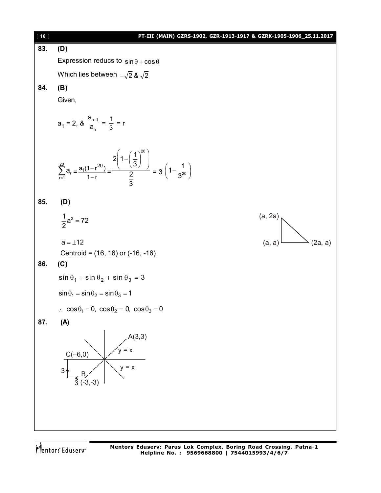| $[ 16 ]$ | PT-III (MAIN) GZRS-1902, GZR-1913-1917 & GZRK-1905-1906_25.11.2017                                                                                       |                   |
|----------|----------------------------------------------------------------------------------------------------------------------------------------------------------|-------------------|
| 83.      | (D)                                                                                                                                                      |                   |
|          | Expression reducs to $sin \theta + cos \theta$                                                                                                           |                   |
|          | Which lies between $-\sqrt{2}$ & $\sqrt{2}$                                                                                                              |                   |
| 84.      | (B)                                                                                                                                                      |                   |
|          | Given,                                                                                                                                                   |                   |
|          | $a_1 = 2$ , $8 \frac{a_{n+1}}{a_n} = \frac{1}{3} = r$                                                                                                    |                   |
|          | $\sum_{r=1}^{20} a_r = \frac{a_1(1-r^{20})}{1-r} = \frac{2\left(1-\left(\frac{1}{3}\right)^{20}\right)}{\frac{2}{r}} = 3\left(1-\frac{1}{3^{20}}\right)$ |                   |
| 85.      | (D)                                                                                                                                                      |                   |
|          | $\frac{1}{2}a^2 = 72$                                                                                                                                    | (a, 2a)           |
|          |                                                                                                                                                          |                   |
|          | $a = \pm 12$                                                                                                                                             | (a, a)<br>(2a, a) |
|          | Centroid = (16, 16) or (-16, -16)                                                                                                                        |                   |
| 86.      | (C)                                                                                                                                                      |                   |
|          | $\sin \theta_1 + \sin \theta_2 + \sin \theta_3 = 3$                                                                                                      |                   |
|          | $\sin \theta_1 = \sin \theta_2 = \sin \theta_3 = 1$                                                                                                      |                   |
|          | $\therefore$ cos $\theta_1 = 0$ , cos $\theta_2 = 0$ , cos $\theta_3 = 0$                                                                                |                   |
| 87.      | (A)                                                                                                                                                      |                   |
|          | A(3,3)<br>$y = x$<br>$C(-6,0)$<br>$y = x$<br>3<br>В<br>$3(-3,-3)$                                                                                        |                   |

Mentors<sup>®</sup> Eduserv<sup>®</sup>